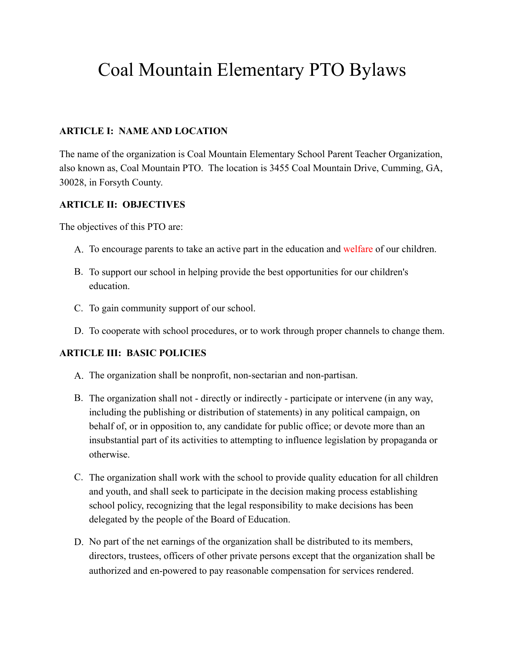# Coal Mountain Elementary PTO Bylaws

# **ARTICLE I: NAME AND LOCATION**

The name of the organization is Coal Mountain Elementary School Parent Teacher Organization, also known as, Coal Mountain PTO. The location is 3455 Coal Mountain Drive, Cumming, GA, 30028, in Forsyth County.

# **ARTICLE II: OBJECTIVES**

The objectives of this PTO are:

- A. To encourage parents to take an active part in the education and welfare of our children.
- B. To support our school in helping provide the best opportunities for our children's education.
- C. To gain community support of our school.
- D. To cooperate with school procedures, or to work through proper channels to change them.

# **ARTICLE III: BASIC POLICIES**

- A. The organization shall be nonprofit, non-sectarian and non-partisan.
- B. The organization shall not directly or indirectly participate or intervene (in any way, including the publishing or distribution of statements) in any political campaign, on behalf of, or in opposition to, any candidate for public office; or devote more than an insubstantial part of its activities to attempting to influence legislation by propaganda or otherwise.
- C. The organization shall work with the school to provide quality education for all children and youth, and shall seek to participate in the decision making process establishing school policy, recognizing that the legal responsibility to make decisions has been delegated by the people of the Board of Education.
- D. No part of the net earnings of the organization shall be distributed to its members, directors, trustees, officers of other private persons except that the organization shall be authorized and en-powered to pay reasonable compensation for services rendered.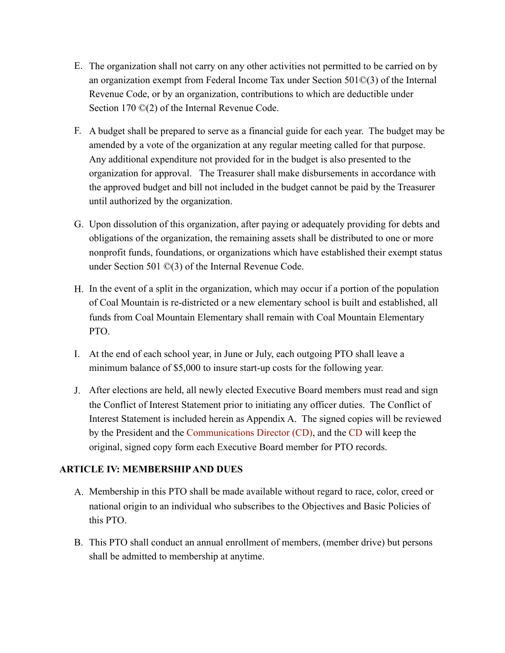- E. The organization shall not carry on any other activities not permitted to be carried on by an organization exempt from Federal Income Tax under Section 501©(3) of the Internal Revenue Code, or by an organization, contributions to which are deductible under Section 170 ©(2) of the Internal Revenue Code.
- F. A budget shall be prepared to serve as a financial guide for each year. The budget may be amended by a vote of the organization at any regular meeting called for that purpose. Any additional expenditure not provided for in the budget is also presented to the organization for approval. The Treasurer shall make disbursements in accordance with the approved budget and bill not included in the budget cannot be paid by the Treasurer until authorized by the organization.
- G. Upon dissolution of this organization, after paying or adequately providing for debts and obligations of the organization, the remaining assets shall be distributed to one or more nonprofit funds, foundations, or organizations which have established their exempt status under Section 501 ©(3) of the Internal Revenue Code.
- H. In the event of a split in the organization, which may occur if a portion of the population of Coal Mountain is re-districted or a new elementary school is built and established, all funds from Coal Mountain Elementary shall remain with Coal Mountain Elementary PTO.
- I. At the end of each school year, in June or July, each outgoing PTO shall leave a minimum balance of \$5,000 to insure start-up costs for the following year.
- J. After elections are held, all newly elected Executive Board members must read and sign the Conflict of Interest Statement prior to initiating any officer duties. The Conflict of Interest Statement is included herein as Appendix A. The signed copies will be reviewed by the President and the Communications Director (CD), and the CD will keep the original, signed copy form each Executive Board member for PTO records.

# **ARTICLE IV: MEMBERSHIP AND DUES**

- A. Membership in this PTO shall be made available without regard to race, color, creed or national origin to an individual who subscribes to the Objectives and Basic Policies of this PTO.
- B. This PTO shall conduct an annual enrollment of members, (member drive) but persons shall be admitted to membership at anytime.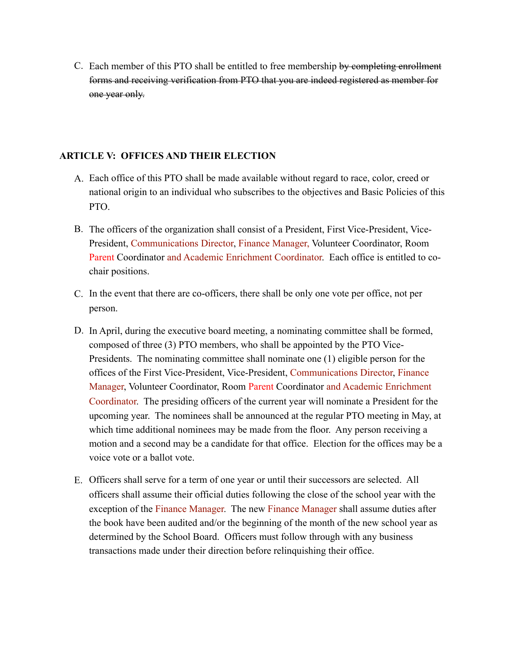C. Each member of this PTO shall be entitled to free membership by completing enrollment forms and receiving verification from PTO that you are indeed registered as member for one year only.

#### **ARTICLE V: OFFICES AND THEIR ELECTION**

- A. Each office of this PTO shall be made available without regard to race, color, creed or national origin to an individual who subscribes to the objectives and Basic Policies of this PTO.
- B. The officers of the organization shall consist of a President, First Vice-President, Vice-President, Communications Director, Finance Manager, Volunteer Coordinator, Room Parent Coordinator and Academic Enrichment Coordinator. Each office is entitled to cochair positions.
- C. In the event that there are co-officers, there shall be only one vote per office, not per person.
- D. In April, during the executive board meeting, a nominating committee shall be formed, composed of three (3) PTO members, who shall be appointed by the PTO Vice-Presidents. The nominating committee shall nominate one (1) eligible person for the offices of the First Vice-President, Vice-President, Communications Director, Finance Manager, Volunteer Coordinator, Room Parent Coordinator and Academic Enrichment Coordinator. The presiding officers of the current year will nominate a President for the upcoming year. The nominees shall be announced at the regular PTO meeting in May, at which time additional nominees may be made from the floor. Any person receiving a motion and a second may be a candidate for that office. Election for the offices may be a voice vote or a ballot vote.
- E. Officers shall serve for a term of one year or until their successors are selected. All officers shall assume their official duties following the close of the school year with the exception of the Finance Manager. The new Finance Manager shall assume duties after the book have been audited and/or the beginning of the month of the new school year as determined by the School Board. Officers must follow through with any business transactions made under their direction before relinquishing their office.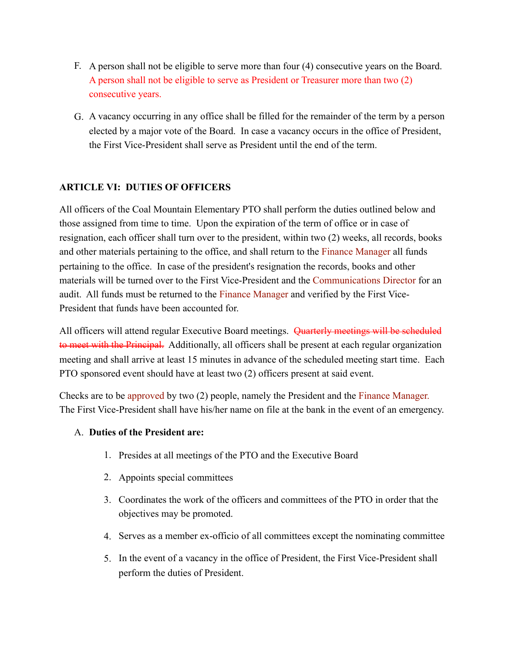- F. A person shall not be eligible to serve more than four (4) consecutive years on the Board. A person shall not be eligible to serve as President or Treasurer more than two (2) consecutive years.
- G. A vacancy occurring in any office shall be filled for the remainder of the term by a person elected by a major vote of the Board. In case a vacancy occurs in the office of President, the First Vice-President shall serve as President until the end of the term.

# **ARTICLE VI: DUTIES OF OFFICERS**

All officers of the Coal Mountain Elementary PTO shall perform the duties outlined below and those assigned from time to time. Upon the expiration of the term of office or in case of resignation, each officer shall turn over to the president, within two (2) weeks, all records, books and other materials pertaining to the office, and shall return to the Finance Manager all funds pertaining to the office. In case of the president's resignation the records, books and other materials will be turned over to the First Vice-President and the Communications Director for an audit. All funds must be returned to the Finance Manager and verified by the First Vice-President that funds have been accounted for.

to meet with the Principal. Additionally, all officers shall be present at each regular organization All officers will attend regular Executive Board meetings. Quarterly meetings will be scheduled meeting and shall arrive at least 15 minutes in advance of the scheduled meeting start time. Each PTO sponsored event should have at least two (2) officers present at said event.

Checks are to be approved by two (2) people, namely the President and the Finance Manager. The First Vice-President shall have his/her name on file at the bank in the event of an emergency.

# A. **Duties of the President are:**

- 1. Presides at all meetings of the PTO and the Executive Board
- 2. Appoints special committees
- 3. Coordinates the work of the officers and committees of the PTO in order that the objectives may be promoted.
- 4. Serves as a member ex-officio of all committees except the nominating committee
- 5. In the event of a vacancy in the office of President, the First Vice-President shall perform the duties of President.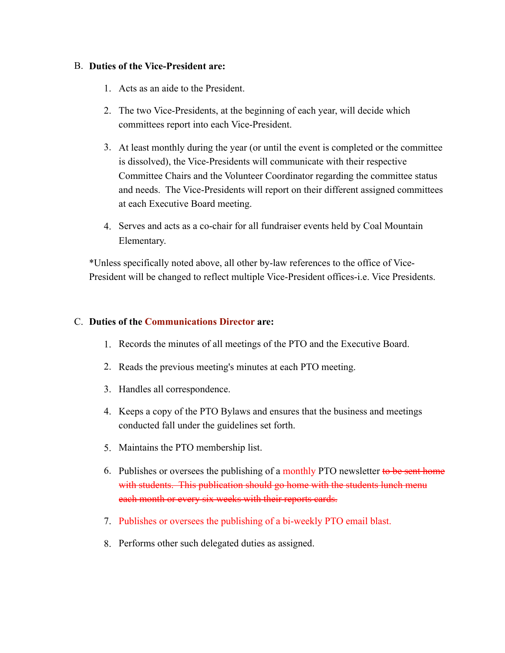#### B. **Duties of the Vice-President are:**

- 1. Acts as an aide to the President.
- 2. The two Vice-Presidents, at the beginning of each year, will decide which committees report into each Vice-President.
- 3. At least monthly during the year (or until the event is completed or the committee is dissolved), the Vice-Presidents will communicate with their respective Committee Chairs and the Volunteer Coordinator regarding the committee status and needs. The Vice-Presidents will report on their different assigned committees at each Executive Board meeting.
- 4. Serves and acts as a co-chair for all fundraiser events held by Coal Mountain Elementary.

\*Unless specifically noted above, all other by-law references to the office of Vice-President will be changed to reflect multiple Vice-President offices-i.e. Vice Presidents.

#### C. **Duties of the Communications Director are:**

- 1. Records the minutes of all meetings of the PTO and the Executive Board.
- 2. Reads the previous meeting's minutes at each PTO meeting.
- 3. Handles all correspondence.
- 4. Keeps a copy of the PTO Bylaws and ensures that the business and meetings conducted fall under the guidelines set forth.
- 5. Maintains the PTO membership list.
- 6. Publishes or oversees the publishing of a monthly PTO newsletter to be sent home with students. This publication should go home with the students lunch menu each month or every six weeks with their reports cards.
- 7. Publishes or oversees the publishing of a bi-weekly PTO email blast.
- 8. Performs other such delegated duties as assigned.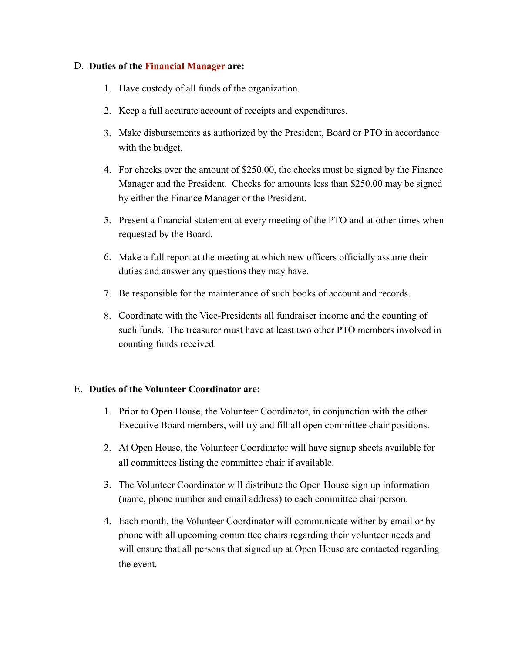### D. **Duties of the Financial Manager are:**

- 1. Have custody of all funds of the organization.
- 2. Keep a full accurate account of receipts and expenditures.
- 3. Make disbursements as authorized by the President, Board or PTO in accordance with the budget.
- 4. For checks over the amount of \$250.00, the checks must be signed by the Finance Manager and the President. Checks for amounts less than \$250.00 may be signed by either the Finance Manager or the President.
- 5. Present a financial statement at every meeting of the PTO and at other times when requested by the Board.
- 6. Make a full report at the meeting at which new officers officially assume their duties and answer any questions they may have.
- 7. Be responsible for the maintenance of such books of account and records.
- 8. Coordinate with the Vice-Presidents all fundraiser income and the counting of such funds. The treasurer must have at least two other PTO members involved in counting funds received.

# E. **Duties of the Volunteer Coordinator are:**

- 1. Prior to Open House, the Volunteer Coordinator, in conjunction with the other Executive Board members, will try and fill all open committee chair positions.
- 2. At Open House, the Volunteer Coordinator will have signup sheets available for all committees listing the committee chair if available.
- 3. The Volunteer Coordinator will distribute the Open House sign up information (name, phone number and email address) to each committee chairperson.
- 4. Each month, the Volunteer Coordinator will communicate wither by email or by phone with all upcoming committee chairs regarding their volunteer needs and will ensure that all persons that signed up at Open House are contacted regarding the event.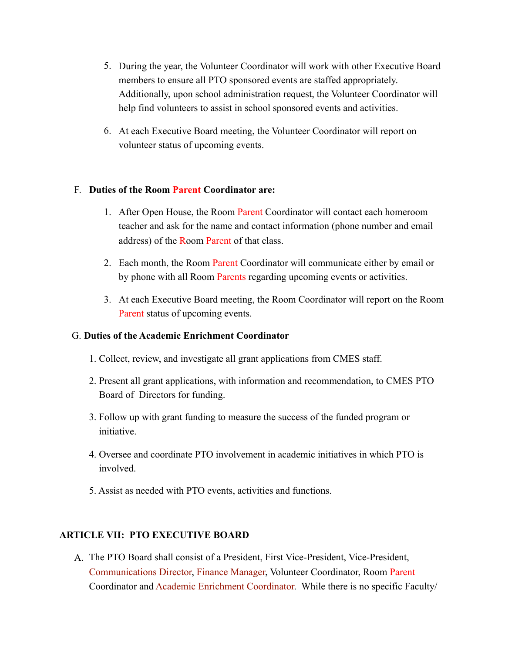- 5. During the year, the Volunteer Coordinator will work with other Executive Board members to ensure all PTO sponsored events are staffed appropriately. Additionally, upon school administration request, the Volunteer Coordinator will help find volunteers to assist in school sponsored events and activities.
- 6. At each Executive Board meeting, the Volunteer Coordinator will report on volunteer status of upcoming events.

# F. **Duties of the Room Parent Coordinator are:**

- address) of the Room Parent of that class. 1. After Open House, the Room Parent Coordinator will contact each homeroom teacher and ask for the name and contact information (phone number and email
- 2. Each month, the Room Parent Coordinator will communicate either by email or by phone with all Room Parents regarding upcoming events or activities.
- 3. At each Executive Board meeting, the Room Coordinator will report on the Room Parent status of upcoming events.

# G. **Duties of the Academic Enrichment Coordinator**

- 1. Collect, review, and investigate all grant applications from CMES staff.
- 2. Present all grant applications, with information and recommendation, to CMES PTO Board of Directors for funding.
- 3. Follow up with grant funding to measure the success of the funded program or initiative.
- 4. Oversee and coordinate PTO involvement in academic initiatives in which PTO is involved.
- 5. Assist as needed with PTO events, activities and functions.

# **ARTICLE VII: PTO EXECUTIVE BOARD**

A. The PTO Board shall consist of a President, First Vice-President, Vice-President, Communications Director, Finance Manager, Volunteer Coordinator, Room Parent Coordinator and Academic Enrichment Coordinator. While there is no specific Faculty/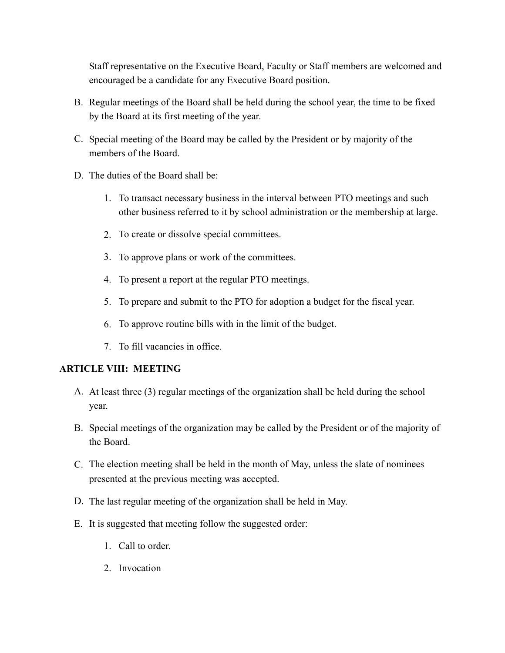Staff representative on the Executive Board, Faculty or Staff members are welcomed and encouraged be a candidate for any Executive Board position.

- B. Regular meetings of the Board shall be held during the school year, the time to be fixed by the Board at its first meeting of the year.
- C. Special meeting of the Board may be called by the President or by majority of the members of the Board.
- D. The duties of the Board shall be:
	- 1. To transact necessary business in the interval between PTO meetings and such other business referred to it by school administration or the membership at large.
	- 2. To create or dissolve special committees.
	- 3. To approve plans or work of the committees.
	- 4. To present a report at the regular PTO meetings.
	- 5. To prepare and submit to the PTO for adoption a budget for the fiscal year.
	- 6. To approve routine bills with in the limit of the budget.
	- 7. To fill vacancies in office.

# **ARTICLE VIII: MEETING**

- A. At least three (3) regular meetings of the organization shall be held during the school year.
- B. Special meetings of the organization may be called by the President or of the majority of the Board.
- C. The election meeting shall be held in the month of May, unless the slate of nominees presented at the previous meeting was accepted.
- D. The last regular meeting of the organization shall be held in May.
- E. It is suggested that meeting follow the suggested order:
	- 1 Call to order
	- 2. Invocation